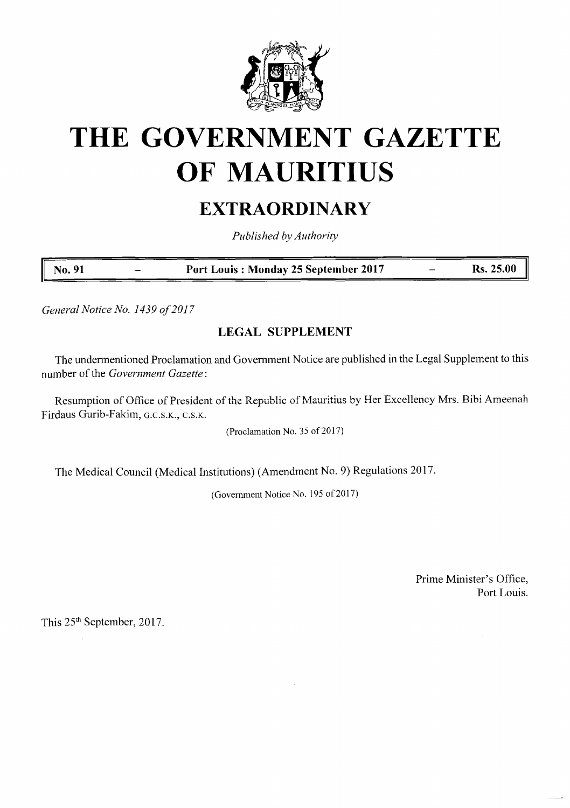

# **THE GOVERNMENT GAZETTE OF MAURITIUS**

## **EXTRAORDINARY**

*Published by Authority*

**No. 91 Port Louis : Monday 25 September 2017 Rs. 25.00**

*GeneralNotice No. 1439 of2017*

## **LEGAL SUPPLEMENT**

The undermentioned Proclamation and Government Notice are published in the Legal Supplement to this number of the *Government Gazette*:

Resumption of Office of President of the Republic of Mauritius by Her Excellency Mrs. Bibi Ameenah Firdaus Gurib-Fakim, g.c.s.k., c.s.k.

(Proclamation No. 35 of 2017)

The Medical Council (Medical Institutions) (Amendment No. 9) Regulations 2017.

(Government Notice No. 195 of 2017)

Prime Minister's Office, Port Louis.

 $\hat{\mathcal{L}}$ 

This 25<sup>th</sup> September, 2017.